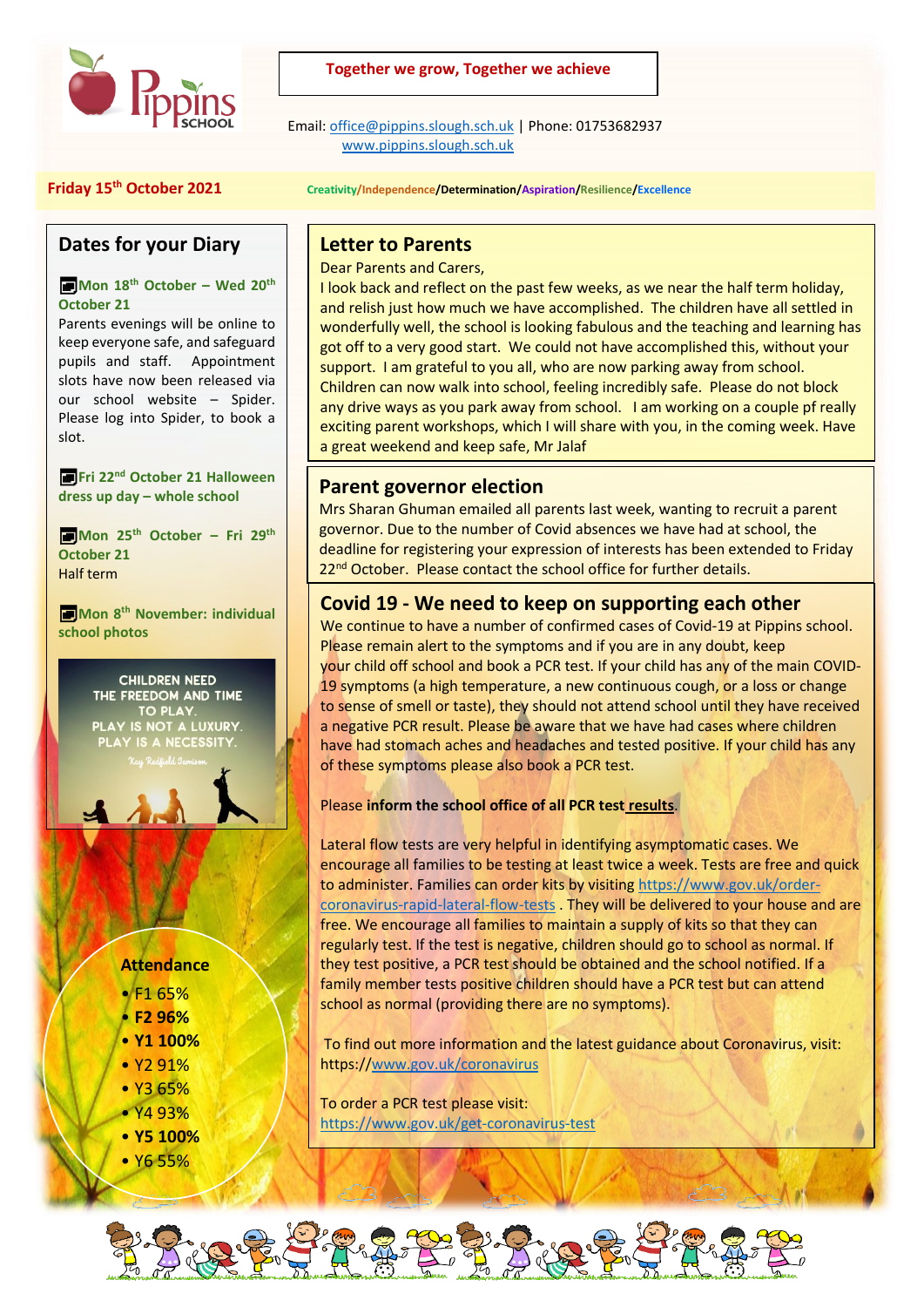

### **Together we grow, Together we achieve**

 Email[: office@pippins.slough.sch.uk](mailto:office@pippins.slough.sch.uk) | Phone: 01753682937 [www.pippins.slough.sch.uk](http://www.pippins.slough.sch.uk/)

#### **Friday 15th October 2021 Creativity/Independence/Determination/Aspiration/Resilience/Excellence**

## **Dates for your Diary**

#### **Mon 18th October – Wed 20th October 21**

Parents evenings will be online to keep everyone safe, and safeguard pupils and staff. Appointment slots have now been released via our school website – Spider. Please log into Spider, to book a slot.

**Fri 22nd October 21 Halloween dress up day – whole school**

**Mon 25th October – Fri 29th October 21** Half term

**Mon 8th November: individual school photos**

> **CHILDREN NEED** THE FREEDOM AND TIME TO PLAY PLAY IS NOT A LUXURY. PLAY IS A NECESSITY

## **Attendance**

- F1 65%
- **F2 96%**
- **Y1 100%**
- Y2 91%
- Y3 65%
- Y4 93% • **Y5 100%**
- Y6 55%

## **Letter to Parents**

Dear Parents and Carers,

I look back and reflect on the past few weeks, as we near the half term holiday, and relish just how much we have accomplished. The children have all settled in wonderfully well, the school is looking fabulous and the teaching and learning has got off to a very good start. We could not have accomplished this, without your support. I am grateful to you all, who are now parking away from school. Children can now walk into school, feeling incredibly safe. Please do not block any drive ways as you park away from school. I am working on a couple pf really exciting parent workshops, which I will share with you, in the coming week. Have a great weekend and keep safe, Mr Jalaf

## **Parent governor election**

Mrs Sharan Ghuman emailed all parents last week, wanting to recruit a parent governor. Due to the number of Covid absences we have had at school, the deadline for registering your expression of interests has been extended to Friday 22<sup>nd</sup> October. Please contact the school office for further details.

# **Covid 19 - We need to keep on supporting each other**

We continue to have a number of confirmed cases of Covid-19 at Pippins school. Please remain alert to the symptoms and if you are in any doubt, keep your child off school and book a PCR test. If your child has any of the main COVID-19 symptoms (a high temperature, a new continuous cough, or a loss or change to sense of smell or taste), they should not attend school until they have received a negative PCR result. Please be aware that we have had cases where children have had stomach aches and headaches and tested positive. If your child has any of these symptoms please also book a PCR test.

#### Please **inform the school office of all PCR test results**.

Lateral flow tests are very helpful in identifying asymptomatic cases. We encourage all families to be testing at least twice a week. Tests are free and quick to administer. Families can order kits by visiting [https://www.gov.uk/order](https://www.gov.uk/order-coronavirus-rapid-lateral-flow-tests)[coronavirus-rapid-lateral-flow-tests](https://www.gov.uk/order-coronavirus-rapid-lateral-flow-tests) . They will be delivered to your house and are free. We encourage all families to maintain a supply of kits so that they can regularly test. If the test is negative, children should go to school as normal. If they test positive, a PCR test should be obtained and the school notified. If a family member tests positive children should have a PCR test but can attend school as normal (providing there are no symptoms).

To find out more information and the latest guidance about Coronavirus, visit: https:/[/www.gov.uk/coronavirus](http://www.gov.uk/coronavirus)

To order a PCR test please visit: <https://www.gov.uk/get-coronavirus-test>

We thank you for your continued support.



í